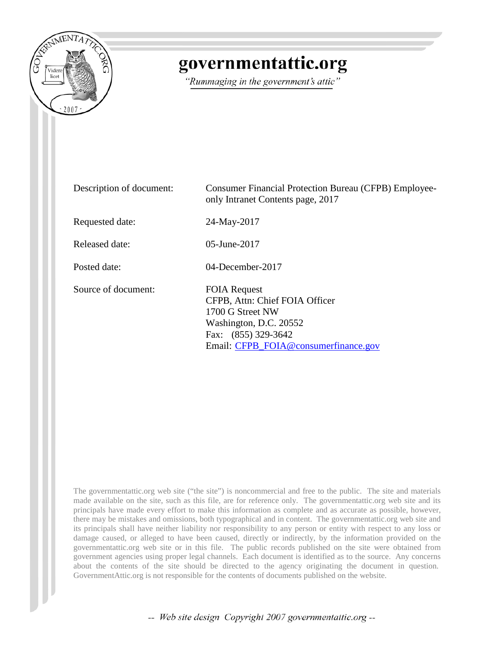

## governmentattic.org

"Rummaging in the government's attic"

| Description of document: | <b>Consumer Financial Protection Bureau (CFPB) Employee-</b><br>only Intranet Contents page, 2017                                                                  |
|--------------------------|--------------------------------------------------------------------------------------------------------------------------------------------------------------------|
| Requested date:          | 24-May-2017                                                                                                                                                        |
| Released date:           | $05$ -June-2017                                                                                                                                                    |
| Posted date:             | $04$ -December-2017                                                                                                                                                |
| Source of document:      | <b>FOIA Request</b><br>CFPB, Attn: Chief FOIA Officer<br>1700 G Street NW<br>Washington, D.C. 20552<br>Fax: (855) 329-3642<br>Email: CFPB_FOIA@consumerfinance.gov |

The governmentattic.org web site ("the site") is noncommercial and free to the public. The site and materials made available on the site, such as this file, are for reference only. The governmentattic.org web site and its principals have made every effort to make this information as complete and as accurate as possible, however, there may be mistakes and omissions, both typographical and in content. The governmentattic.org web site and its principals shall have neither liability nor responsibility to any person or entity with respect to any loss or damage caused, or alleged to have been caused, directly or indirectly, by the information provided on the governmentattic.org web site or in this file. The public records published on the site were obtained from government agencies using proper legal channels. Each document is identified as to the source. Any concerns about the contents of the site should be directed to the agency originating the document in question. GovernmentAttic.org is not responsible for the contents of documents published on the website.

-- Web site design Copyright 2007 governmentattic.org --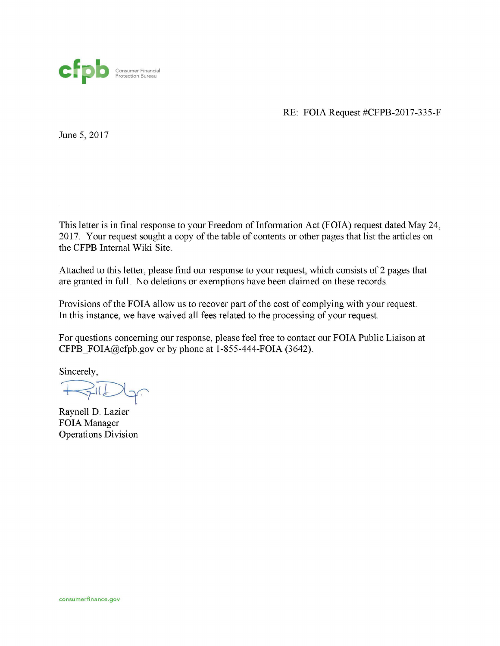

RE: FOIA Request #CFPB-2017-335-F

June 5, 2017

This letter is in final response to your Freedom of Information Act (FOIA) request dated May 24, 2017. Your request sought a copy of the table of contents or other pages that list the articles on the CFPB Internal Wiki Site.

Attached to this letter, please find our response to your request, which consists of 2 pages that are granted in full. No deletions or exemptions have been claimed on these records.

Provisions of the FOIA allow us to recover part of the cost of complying with your request. In this instance, we have waived all fees related to the processing of your request.

For questions concerning our response, please feel free to contact our FOIA Public Liaison at CFPB  $FOLA@cfpb.gov$  or by phone at 1-855-444-FOIA (3642).

Sincerely,

 $\leq l$ 

Raynell D. Lazier FOIA Manager Operations Division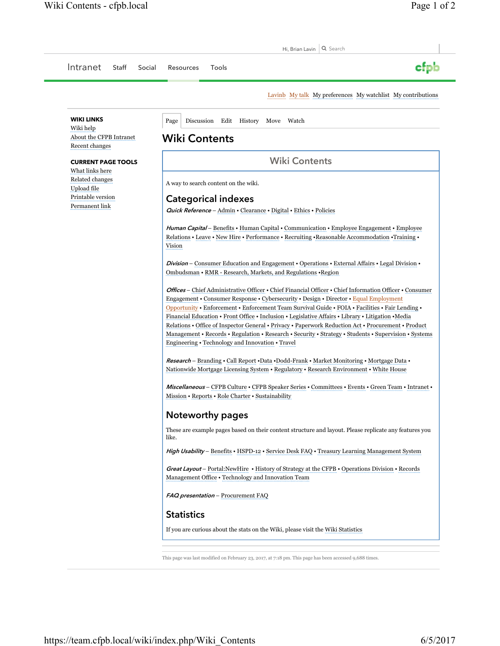| Intranet<br>Staff<br>Social                                                                                           | cfpb<br>Resources<br>Tools                                                                                                                                                                                                                                                                                                                                                                                                                                                                                                                                                                                                                                                             |
|-----------------------------------------------------------------------------------------------------------------------|----------------------------------------------------------------------------------------------------------------------------------------------------------------------------------------------------------------------------------------------------------------------------------------------------------------------------------------------------------------------------------------------------------------------------------------------------------------------------------------------------------------------------------------------------------------------------------------------------------------------------------------------------------------------------------------|
|                                                                                                                       | Lavinb My talk My preferences My watchlist My contributions                                                                                                                                                                                                                                                                                                                                                                                                                                                                                                                                                                                                                            |
| <b>WIKI LINKS</b>                                                                                                     | Discussion Edit History Move Watch<br>Page                                                                                                                                                                                                                                                                                                                                                                                                                                                                                                                                                                                                                                             |
| Wiki help<br>About the CFPB Intranet<br>Recent changes                                                                | <b>Wiki Contents</b>                                                                                                                                                                                                                                                                                                                                                                                                                                                                                                                                                                                                                                                                   |
| <b>CURRENT PAGE TOOLS</b><br>What links here<br>Related changes<br>Upload file<br>Printable version<br>Permanent link | <b>Wiki Contents</b>                                                                                                                                                                                                                                                                                                                                                                                                                                                                                                                                                                                                                                                                   |
|                                                                                                                       | A way to search content on the wiki.                                                                                                                                                                                                                                                                                                                                                                                                                                                                                                                                                                                                                                                   |
|                                                                                                                       | <b>Categorical indexes</b><br><b>Quick Reference - Admin · Clearance · Digital · Ethics · Policies</b>                                                                                                                                                                                                                                                                                                                                                                                                                                                                                                                                                                                 |
|                                                                                                                       | <i>Human Capital</i> – Benefits • Human Capital • Communication • Employee Engagement • Employee<br>Relations • Leave • New Hire • Performance • Recruiting • Reasonable Accommodation • Training •<br>Vision                                                                                                                                                                                                                                                                                                                                                                                                                                                                          |
|                                                                                                                       | <b>Division</b> – Consumer Education and Engagement • Operations • External Affairs • Legal Division •<br>Ombudsman • RMR - Research, Markets, and Regulations • Region                                                                                                                                                                                                                                                                                                                                                                                                                                                                                                                |
|                                                                                                                       | <i>Offices</i> – Chief Administrative Officer • Chief Financial Officer • Chief Information Officer • Consumer<br>Engagement • Consumer Response • Cybersecurity • Design • Director • Equal Employment<br>Opportunity • Enforcement • Enforcement Team Survival Guide • FOIA • Facilities • Fair Lending •<br>Financial Education • Front Office • Inclusion • Legislative Affairs • Library • Litigation • Media<br>Relations • Office of Inspector General • Privacy • Paperwork Reduction Act • Procurement • Product<br>Management • Records • Regulation • Research • Security • Strategy • Students • Supervision • Systems<br>Engineering • Technology and Innovation • Travel |
|                                                                                                                       | <b>Research</b> – Branding • Call Report • Data • Dodd-Frank • Market Monitoring • Mortgage Data •<br>Nationwide Mortgage Licensing System • Regulatory • Research Environment • White House                                                                                                                                                                                                                                                                                                                                                                                                                                                                                           |
|                                                                                                                       | Miscellaneous - CFPB Culture • CFPB Speaker Series • Committees • Events • Green Team • Intranet •<br>Mission • Reports • Role Charter • Sustainability                                                                                                                                                                                                                                                                                                                                                                                                                                                                                                                                |
|                                                                                                                       | <b>Noteworthy pages</b>                                                                                                                                                                                                                                                                                                                                                                                                                                                                                                                                                                                                                                                                |
|                                                                                                                       | These are example pages based on their content structure and layout. Please replicate any features you<br>like.                                                                                                                                                                                                                                                                                                                                                                                                                                                                                                                                                                        |
|                                                                                                                       | <i>High Usability</i> – Benefits • HSPD-12 • Service Desk FAQ • Treasury Learning Management System                                                                                                                                                                                                                                                                                                                                                                                                                                                                                                                                                                                    |
|                                                                                                                       | <b>Great Layout</b> – Portal: New Hire • History of Strategy at the CFPB • Operations Division • Records<br>Management Office • Technology and Innovation Team                                                                                                                                                                                                                                                                                                                                                                                                                                                                                                                         |
|                                                                                                                       | FAQ presentation - Procurement FAQ                                                                                                                                                                                                                                                                                                                                                                                                                                                                                                                                                                                                                                                     |
|                                                                                                                       | <b>Statistics</b>                                                                                                                                                                                                                                                                                                                                                                                                                                                                                                                                                                                                                                                                      |
|                                                                                                                       | If you are curious about the stats on the Wiki, please visit the Wiki Statistics                                                                                                                                                                                                                                                                                                                                                                                                                                                                                                                                                                                                       |